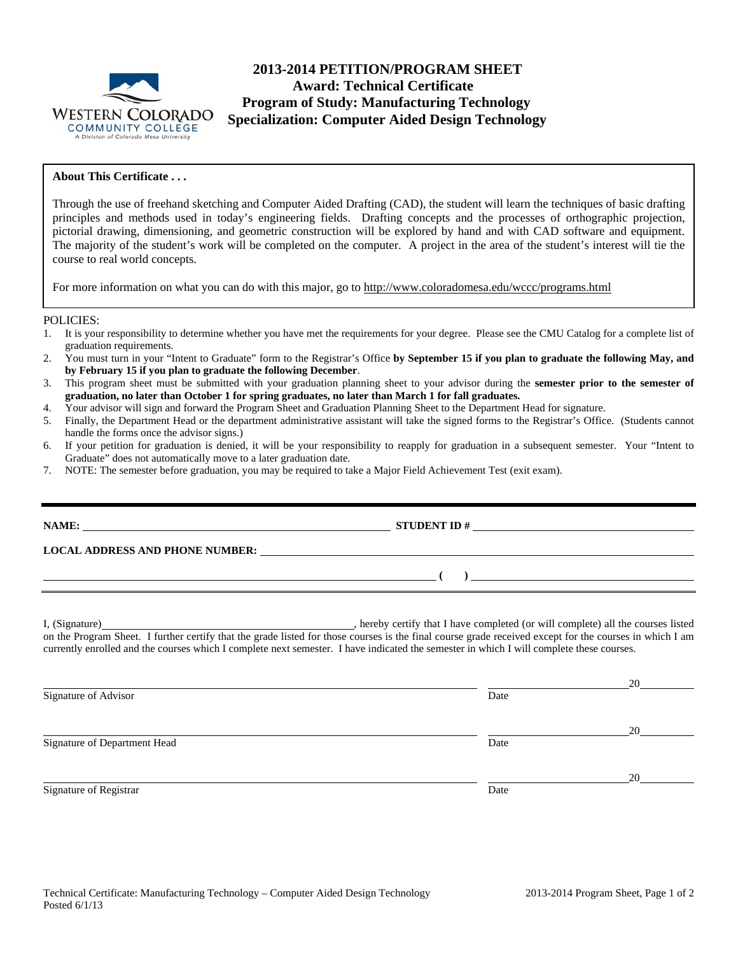

# **2013-2014 PETITION/PROGRAM SHEET Award: Technical Certificate Program of Study: Manufacturing Technology Specialization: Computer Aided Design Technology**

### **About This Certificate . . .**

Through the use of freehand sketching and Computer Aided Drafting (CAD), the student will learn the techniques of basic drafting principles and methods used in today's engineering fields. Drafting concepts and the processes of orthographic projection, pictorial drawing, dimensioning, and geometric construction will be explored by hand and with CAD software and equipment. The majority of the student's work will be completed on the computer. A project in the area of the student's interest will tie the course to real world concepts.

For more information on what you can do with this major, go to http://www.coloradomesa.edu/wccc/programs.html

#### POLICIES:

- 1. It is your responsibility to determine whether you have met the requirements for your degree. Please see the CMU Catalog for a complete list of graduation requirements.
- 2. You must turn in your "Intent to Graduate" form to the Registrar's Office **by September 15 if you plan to graduate the following May, and by February 15 if you plan to graduate the following December**.
- 3. This program sheet must be submitted with your graduation planning sheet to your advisor during the **semester prior to the semester of graduation, no later than October 1 for spring graduates, no later than March 1 for fall graduates.**
- 4. Your advisor will sign and forward the Program Sheet and Graduation Planning Sheet to the Department Head for signature.
- 5. Finally, the Department Head or the department administrative assistant will take the signed forms to the Registrar's Office. (Students cannot handle the forms once the advisor signs.)
- 6. If your petition for graduation is denied, it will be your responsibility to reapply for graduation in a subsequent semester. Your "Intent to Graduate" does not automatically move to a later graduation date.
- 7. NOTE: The semester before graduation, you may be required to take a Major Field Achievement Test (exit exam).

| LOCAL ADDRESS AND PHONE NUMBER: University of the contract of the contract of the contract of the contract of the contract of the contract of the contract of the contract of the contract of the contract of the contract of                                                                       |
|-----------------------------------------------------------------------------------------------------------------------------------------------------------------------------------------------------------------------------------------------------------------------------------------------------|
| $\overline{a}$<br>$\overline{\phantom{a}}$ ( $\overline{\phantom{a}}$ ) and $\overline{\phantom{a}}$ ( $\overline{\phantom{a}}$ ) and $\overline{\phantom{a}}$ ( $\overline{\phantom{a}}$                                                                                                           |
| on the Program Sheet. I further certify that the grade listed for those courses is the final course grade received except for the courses in which I am<br>currently enrolled and the courses which I complete next semester. I have indicated the semester in which I will complete these courses. |

|                              |      | 20 |
|------------------------------|------|----|
| Signature of Advisor         | Date |    |
|                              |      | 20 |
| Signature of Department Head | Date |    |
|                              |      | 20 |
| Signature of Registrar       | Date |    |